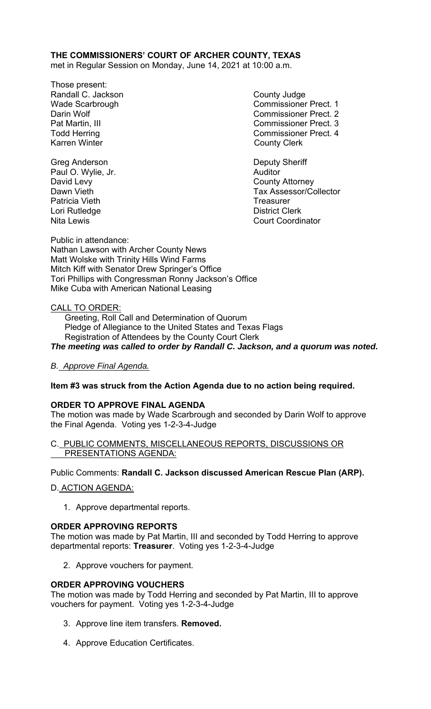## **THE COMMISSIONERS' COURT OF ARCHER COUNTY, TEXAS**

met in Regular Session on Monday, June 14, 2021 at 10:00 a.m.

- Those present: Randall C. Jackson County Judge Karren Winter **County Clerk**
- Wade Scarbrough Commissioner Prect. 1 Darin Wolf Commissioner Prect. 2 Pat Martin, III Commissioner Prect. 3 Todd Herring Todd Exercise Commissioner Prect. 4
- Dawn Vieth Tax Assessor/Collector Nita Lewis Court Coordinator

Greg Anderson **Deputy Sheriff** Paul O. Wylie, Jr. **Auditor Paul O. Wylie, Jr. Auditor** David Levy **County Attorney** Patricia Vieth **Treasurer** Treasurer Lori Rutledge **District Clerk** 

Public in attendance: Nathan Lawson with Archer County News Matt Wolske with Trinity Hills Wind Farms Mitch Kiff with Senator Drew Springer's Office Tori Phillips with Congressman Ronny Jackson's Office Mike Cuba with American National Leasing

#### CALL TO ORDER:

 Greeting, Roll Call and Determination of Quorum Pledge of Allegiance to the United States and Texas Flags Registration of Attendees by the County Court Clerk *The meeting was called to order by Randall C. Jackson, and a quorum was noted.* 

*B. Approve Final Agenda.* 

## **Item #3 was struck from the Action Agenda due to no action being required.**

#### **ORDER TO APPROVE FINAL AGENDA**

The motion was made by Wade Scarbrough and seconded by Darin Wolf to approve the Final Agenda. Voting yes 1-2-3-4-Judge

C. PUBLIC COMMENTS, MISCELLANEOUS REPORTS, DISCUSSIONS OR PRESENTATIONS AGENDA:

Public Comments: **Randall C. Jackson discussed American Rescue Plan (ARP).**

D. ACTION AGENDA:

1. Approve departmental reports.

## **ORDER APPROVING REPORTS**

The motion was made by Pat Martin, III and seconded by Todd Herring to approve departmental reports: **Treasurer**. Voting yes 1-2-3-4-Judge

2. Approve vouchers for payment.

## **ORDER APPROVING VOUCHERS**

The motion was made by Todd Herring and seconded by Pat Martin, III to approve vouchers for payment. Voting yes 1-2-3-4-Judge

- 3. Approve line item transfers. **Removed.**
- 4. Approve Education Certificates.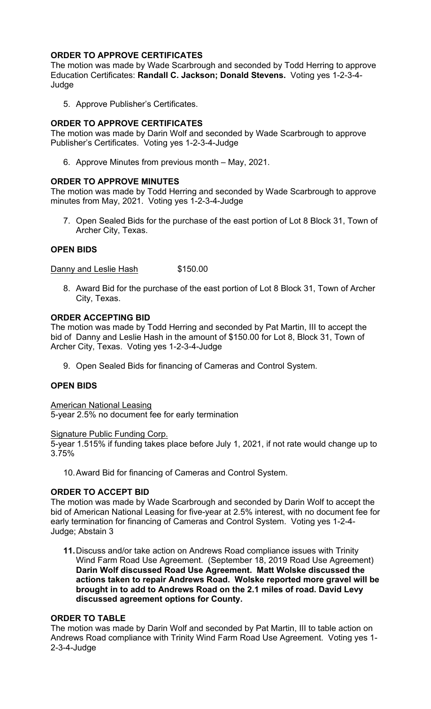# **ORDER TO APPROVE CERTIFICATES**

The motion was made by Wade Scarbrough and seconded by Todd Herring to approve Education Certificates: **Randall C. Jackson; Donald Stevens.** Voting yes 1-2-3-4- **Judge** 

5. Approve Publisher's Certificates.

# **ORDER TO APPROVE CERTIFICATES**

The motion was made by Darin Wolf and seconded by Wade Scarbrough to approve Publisher's Certificates. Voting yes 1-2-3-4-Judge

6. Approve Minutes from previous month – May, 2021.

## **ORDER TO APPROVE MINUTES**

The motion was made by Todd Herring and seconded by Wade Scarbrough to approve minutes from May, 2021. Voting yes 1-2-3-4-Judge

7. Open Sealed Bids for the purchase of the east portion of Lot 8 Block 31, Town of Archer City, Texas.

## **OPEN BIDS**

Danny and Leslie Hash \$150.00

8. Award Bid for the purchase of the east portion of Lot 8 Block 31, Town of Archer City, Texas.

#### **ORDER ACCEPTING BID**

The motion was made by Todd Herring and seconded by Pat Martin, III to accept the bid of Danny and Leslie Hash in the amount of \$150.00 for Lot 8, Block 31, Town of Archer City, Texas. Voting yes 1-2-3-4-Judge

9. Open Sealed Bids for financing of Cameras and Control System.

## **OPEN BIDS**

American National Leasing

5-year 2.5% no document fee for early termination

#### Signature Public Funding Corp.

5-year 1.515% if funding takes place before July 1, 2021, if not rate would change up to 3.75%

10. Award Bid for financing of Cameras and Control System.

## **ORDER TO ACCEPT BID**

The motion was made by Wade Scarbrough and seconded by Darin Wolf to accept the bid of American National Leasing for five-year at 2.5% interest, with no document fee for early termination for financing of Cameras and Control System. Voting yes 1-2-4- Judge; Abstain 3

**11.** Discuss and/or take action on Andrews Road compliance issues with Trinity Wind Farm Road Use Agreement.(September 18, 2019 Road Use Agreement) **Darin Wolf discussed Road Use Agreement. Matt Wolske discussed the actions taken to repair Andrews Road. Wolske reported more gravel will be brought in to add to Andrews Road on the 2.1 miles of road. David Levy discussed agreement options for County.** 

## **ORDER TO TABLE**

The motion was made by Darin Wolf and seconded by Pat Martin, III to table action on Andrews Road compliance with Trinity Wind Farm Road Use Agreement. Voting yes 1- 2-3-4-Judge